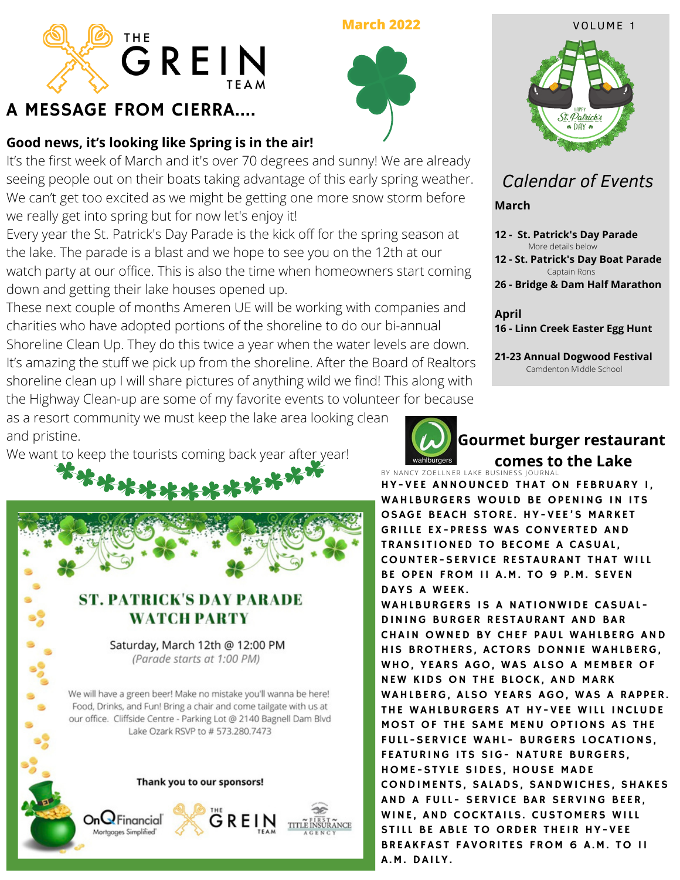

# A MESSAGE FROM CIERRA....

### **Good news, it's looking like Spring is in the air!**

It's the first week of March and it's over 70 degrees and sunny! We are already seeing people out on their boats taking advantage of this early spring weather. We can't get too excited as we might be getting one more snow storm before we really get into spring but for now let's enjoy it!

Every year the St. Patrick's Day Parade is the kick off for the spring season at the lake. The parade is a blast and we hope to see you on the 12th at our watch party at our office. This is also the time when homeowners start coming down and getting their lake houses opened up.

its amazing the stan we pick up from the shoreline. After the Board of Kealtors<br>shoreline clean up I will share pictures of anything wild we find! This along with These next couple of months Ameren UE will be working with companies and charities who have adopted portions of the shoreline to do our bi-annual Shoreline Clean Up. They do this twice a year when the water levels are down. It's amazing the stuff we pick up from the shoreline. After the Board of Realtors the Highway Clean-up are some of my favorite events to volunteer for because

as a resort community we must keep the lake area looking clean and pristine.

We want to keep the tourists coming back year after year!





#### **Gourmet burger restaurant comes to the Lake**

BY NANCY ZOELLNER LAKE BUSINESS JOURNAL HY-VEE ANNOUNCED THAT ON FEBRUARY I, WAHLBURGERS WOULD BE OPENING IN ITS OSAGE BEACH STORE. HY-VEE'S MARKET GRILLE EX-PRESS WAS CONVERTED AND **TRANSITIONED TO BECOME A CASUAL.** COUNTER-SERVICE RESTAURANT THAT WILL BE OPEN FROM II A.M. TO 9 P.M. SEVEN DAYS A WEEK.

WAHLBURGERS IS A NATIONWIDE CASUAL-DINING BURGER RESTAURANT AND BAR CHAIN OWNED BY CHEF PAUL WAHLBERG AND HIS BROTHERS, ACTORS DONNIE WAHLBERG, WHO, YEARS AGO, WAS ALSO A MEMBER OF NEW KIDS ON THE BLOCK, AND MARK WAHLBERG, ALSO YEARS AGO, WAS A RAPPER. THE WAHLBURGERS AT HY-VEE WILL INCLUDE MOST OF THE SAME MENU OPTIONS AS THE FULL-SERVICE WAHL- BURGERS LOCATIONS, FEATURING ITS SIG- NATURE BURGERS, HOME-STYLE SIDES, HOUSE MADE CONDIMENTS, SALADS, SANDWICHES, SHAKES AND A FULL- SERVICE BAR SERVING BEER, WINE, AND COCKTAILS. CUSTOMERS WILL STILL BE ABLE TO ORDER THEIR HY-VEE BREAKFAST FAVORITES FROM 6 A.M. TO II A.M. DAILY.



## *Calendar of Events*

**March**

**12 - St. Patrick's Day Parade** More details below

**12 - St. Patrick's Day Boat Parade** Captain Rons

**26 - Bridge & Dam Half Marathon**

**April 16 - Linn Creek Easter Egg Hunt**

**21-23 Annual Dogwood Festival** Camdenton Middle School

**March 2022** VOLUME 1